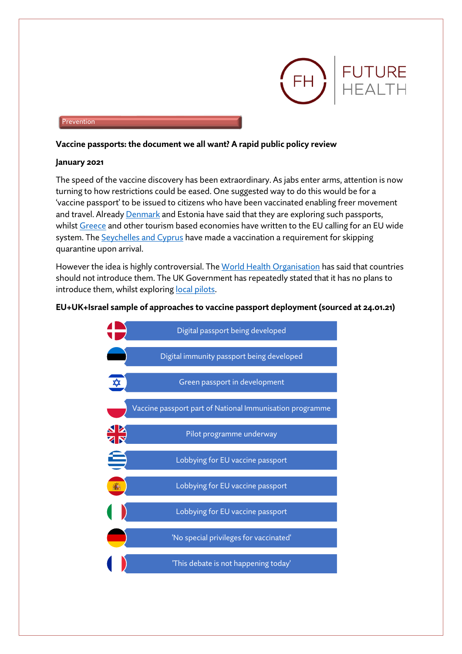

#### Prevention

#### **Vaccine passports: the document we all want? A rapid public policy review**

#### **January 2021**

The speed of the vaccine discovery has been extraordinary. As jabs enter arms, attention is now turning to how restrictions could be eased. One suggested way to do this would be for a 'vaccine passport' to be issued to citizens who have been vaccinated enabling freer movement and travel. Alread[y Denmark](https://www.reuters.com/article/us-health-coronavirus-denmark-travel-idUSKBN29D1DM) and Estonia have said that they are exploring such passports, whils[t Greece](https://www.theguardian.com/world/2021/jan/14/greece-presses-case-for-covid-vaccine-passports-but-other-eu-states-wary) and other tourism based economies have written to the EU calling for an EU wide system. Th[e Seychelles and Cyprus](https://www.washingtonpost.com/travel/2021/01/22/passport-vaccine-covid-flights-international/) have made a vaccination a requirement for skipping quarantine upon arrival.

However the idea is highly controversial. Th[e World Health Organisation](https://www.schengenvisainfo.com/news/who-opposes-covid-19-vaccine-passports-idea/) has said that countries should not introduce them. The UK Government has repeatedly stated that it has no plans to introduce them, whilst explorin[g local pilots.](https://www.telegraph.co.uk/technology/2021/01/12/exclusive-vaccine-passports-trialled-thousands-britons/)

#### **EU+UK+Israel sample of approaches to vaccine passport deployment (sourced at 24.01.21)**

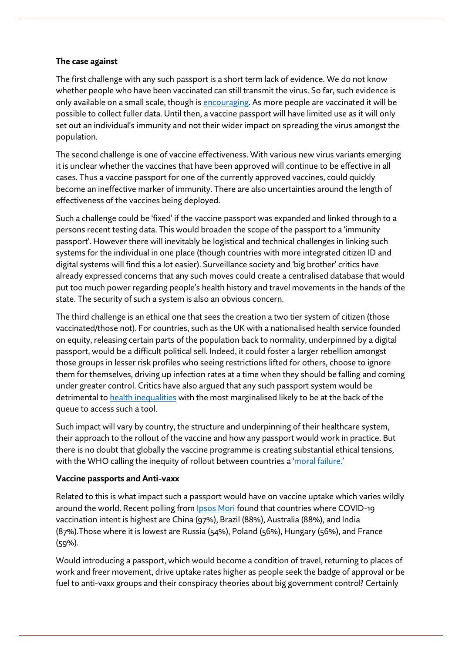### **The case against**

The first challenge with any such passport is a short term lack of evidence. We do not know whether people who have been vaccinated can still transmit the virus. So far, such evidence is only available on a small scale, though is [encouraging.](https://www.jpost.com/health-science/antibodies-increase-by-6-to-20-times-after-second-pfizer-dose-sheba-655861) As more people are vaccinated it will be possible to collect fuller data. Until then, a vaccine passport will have limited use as it will only set out an individual's immunity and not their wider impact on spreading the virus amongst the population.

The second challenge is one of vaccine effectiveness. With various new virus variants emerging it is unclear whether the vaccines that have been approved will continue to be effective in all cases. Thus a vaccine passport for one of the currently approved vaccines, could quickly become an ineffective marker of immunity. There are also uncertainties around the length of effectiveness of the vaccines being deployed.

Such a challenge could be 'fixed' if the vaccine passport was expanded and linked through to a persons recent testing data. This would broaden the scope of the passport to a 'immunity passport'. However there will inevitably be logistical and technical challenges in linking such systems for the individual in one place (though countries with more integrated citizen ID and digital systems will find this a lot easier). Surveillance society and 'big brother' critics have already expressed concerns that any such moves could create a centralised database that would put too much power regarding people's health history and travel movements in the hands of the state. The security of such a system is also an obvious concern.

The third challenge is an ethical one that sees the creation a two tier system of citizen (those vaccinated/those not). For countries, such as the UK with a nationalised health service founded on equity, releasing certain parts of the population back to normality, underpinned by a digital passport, would be a difficult political sell. Indeed, it could foster a larger rebellion amongst those groups in lesser risk profiles who seeing restrictions lifted for others, choose to ignore them for themselves, driving up infection rates at a time when they should be falling and coming under greater control. Critics have also argued that any such passport system would be detrimental t[o health inequalities](https://www.thelancet.com/journals/lancet/article/PIIS0140-6736(20)31034-5/fulltext) with the most marginalised likely to be at the back of the queue to access such a tool.

Such impact will vary by country, the structure and underpinning of their healthcare system, their approach to the rollout of the vaccine and how any passport would work in practice. But there is no doubt that globally the vaccine programme is creating substantial ethical tensions, with the WHO calling the inequity of rollout between countries a '[moral failure.](https://www.voanews.com/science-health/who-poor-countries-missing-out-life-saving-covid-19-vaccines)'

# **Vaccine passports and Anti-vaxx**

Related to this is what impact such a passport would have on vaccine uptake which varies wildly around the world. Recent polling from **Ipsos Mori** found that countries where COVID-19 vaccination intent is highest are China (97%), Brazil (88%), Australia (88%), and India (87%).Those where it is lowest are Russia (54%), Poland (56%), Hungary (56%), and France (59%).

Would introducing a passport, which would become a condition of travel, returning to places of work and freer movement, drive uptake rates higher as people seek the badge of approval or be fuel to anti-vaxx groups and their conspiracy theories about big government control? Certainly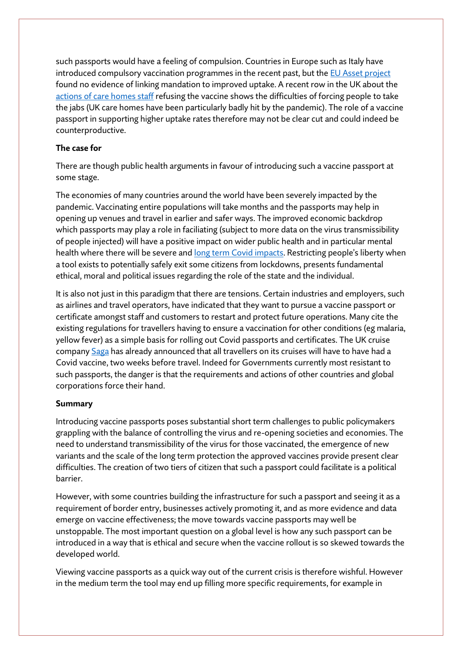such passports would have a feeling of compulsion. Countries in Europe such as Italy have introduced compulsory vaccination programmes in the recent past, but th[e EU Asset project](http://www.asset-scienceinsociety.eu/reports/page1.html) found no evidence of linking mandation to improved uptake. A recent row in the UK about the [actions of care homes staff](https://news.sky.com/story/covid-19-concerns-grow-over-number-of-carers-turning-down-vaccine-12195852) refusing the vaccine shows the difficulties of forcing people to take the jabs (UK care homes have been particularly badly hit by the pandemic). The role of a vaccine passport in supporting higher uptake rates therefore may not be clear cut and could indeed be counterproductive.

## **The case for**

There are though public health arguments in favour of introducing such a vaccine passport at some stage.

The economies of many countries around the world have been severely impacted by the pandemic. Vaccinating entire populations will take months and the passports may help in opening up venues and travel in earlier and safer ways. The improved economic backdrop which passports may play a role in faciliating (subject to more data on the virus transmissibility of people injected) will have a positive impact on wider public health and in particular mental health where there will be severe and [long term Covid impacts.](https://blog.pauldcorrigan.com/2020/05/29/lessons-from-the-covid-emergency-12/) Restricting people's liberty when a tool exists to potentially safely exit some citizens from lockdowns, presents fundamental ethical, moral and political issues regarding the role of the state and the individual.

It is also not just in this paradigm that there are tensions. Certain industries and employers, such as airlines and travel operators, have indicated that they want to pursue a vaccine passport or certificate amongst staff and customers to restart and protect future operations. Many cite the existing regulations for travellers having to ensure a vaccination for other conditions (eg malaria, yellow fever) as a simple basis for rolling out Covid passports and certificates. The UK cruise company [Saga](https://abcnews.go.com/International/uk-cruise-liner-require-passengers-fully-vaccinated-covid/story?id=75401862) has already announced that all travellers on its cruises will have to have had a Covid vaccine, two weeks before travel. Indeed for Governments currently most resistant to such passports, the danger is that the requirements and actions of other countries and global corporations force their hand.

# **Summary**

Introducing vaccine passports poses substantial short term challenges to public policymakers grappling with the balance of controlling the virus and re-opening societies and economies. The need to understand transmissibility of the virus for those vaccinated, the emergence of new variants and the scale of the long term protection the approved vaccines provide present clear difficulties. The creation of two tiers of citizen that such a passport could facilitate is a political barrier.

However, with some countries building the infrastructure for such a passport and seeing it as a requirement of border entry, businesses actively promoting it, and as more evidence and data emerge on vaccine effectiveness; the move towards vaccine passports may well be unstoppable. The most important question on a global level is how any such passport can be introduced in a way that is ethical and secure when the vaccine rollout is so skewed towards the developed world.

Viewing vaccine passports as a quick way out of the current crisis is therefore wishful. However in the medium term the tool may end up filling more specific requirements, for example in